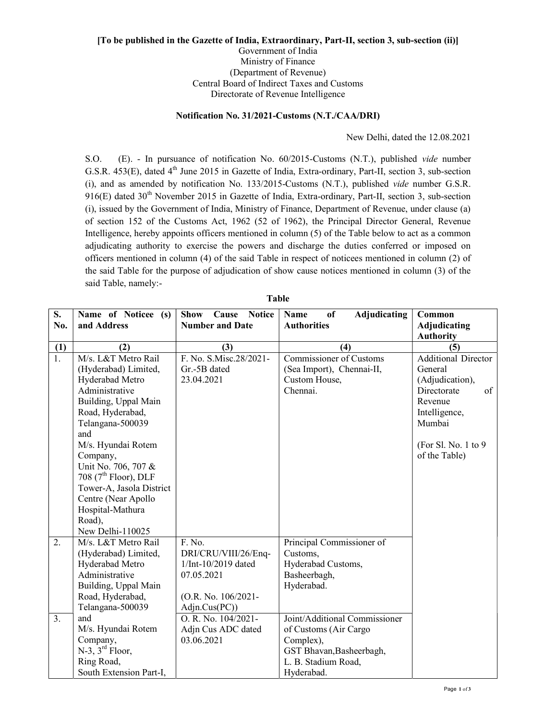## [To be published in the Gazette of India, Extraordinary, Part-II, section 3, sub-section (ii)] Government of India Ministry of Finance (Department of Revenue) Central Board of Indirect Taxes and Customs Directorate of Revenue Intelligence

## Notification No. 31/2021-Customs (N.T./CAA/DRI)

New Delhi, dated the 12.08.2021

S.O. (E). - In pursuance of notification No. 60/2015-Customs (N.T.), published vide number G.S.R. 453(E), dated 4<sup>th</sup> June 2015 in Gazette of India, Extra-ordinary, Part-II, section 3, sub-section (i), and as amended by notification No. 133/2015-Customs (N.T.), published vide number G.S.R. 916(E) dated 30<sup>th</sup> November 2015 in Gazette of India, Extra-ordinary, Part-II, section 3, sub-section (i), issued by the Government of India, Ministry of Finance, Department of Revenue, under clause (a) of section 152 of the Customs Act, 1962 (52 of 1962), the Principal Director General, Revenue Intelligence, hereby appoints officers mentioned in column (5) of the Table below to act as a common adjudicating authority to exercise the powers and discharge the duties conferred or imposed on officers mentioned in column (4) of the said Table in respect of noticees mentioned in column (2) of the said Table for the purpose of adjudication of show cause notices mentioned in column (3) of the said Table, namely:-

| S.               | Name of Noticee (s)              | <b>Show</b><br><b>Cause Notice</b> | <sub>of</sub><br>Adjudicating<br><b>Name</b> | Common               |
|------------------|----------------------------------|------------------------------------|----------------------------------------------|----------------------|
| No.              | and Address                      | <b>Number and Date</b>             | <b>Authorities</b>                           | Adjudicating         |
|                  |                                  |                                    |                                              | <b>Authority</b>     |
| (1)              | (2)                              | (3)                                | (4)                                          | (5)                  |
| $\overline{1}$ . | M/s. L&T Metro Rail              | F. No. S.Misc.28/2021-             | <b>Commissioner of Customs</b>               | Additional Director  |
|                  | (Hyderabad) Limited,             | Gr.-5B dated                       | (Sea Import), Chennai-II,                    | General              |
|                  | Hyderabad Metro                  | 23.04.2021                         | Custom House,                                | (Adjudication),      |
|                  | Administrative                   |                                    | Chennai.                                     | Directorate<br>of    |
|                  | Building, Uppal Main             |                                    |                                              | Revenue              |
|                  | Road, Hyderabad,                 |                                    |                                              | Intelligence,        |
|                  | Telangana-500039                 |                                    |                                              | Mumbai               |
|                  | and                              |                                    |                                              |                      |
|                  | M/s. Hyundai Rotem               |                                    |                                              | (For Sl. No. 1 to 9) |
|                  | Company,                         |                                    |                                              | of the Table)        |
|                  | Unit No. 706, 707 &              |                                    |                                              |                      |
|                  | 708 $(7^{\text{th}}$ Floor), DLF |                                    |                                              |                      |
|                  | Tower-A, Jasola District         |                                    |                                              |                      |
|                  | Centre (Near Apollo              |                                    |                                              |                      |
|                  | Hospital-Mathura                 |                                    |                                              |                      |
|                  | Road),                           |                                    |                                              |                      |
|                  | New Delhi-110025                 |                                    |                                              |                      |
| 2.               | M/s. L&T Metro Rail              | F. No.                             | Principal Commissioner of                    |                      |
|                  | (Hyderabad) Limited,             | DRI/CRU/VIII/26/Enq-               | Customs,                                     |                      |
|                  | Hyderabad Metro                  | 1/Int-10/2019 dated                | Hyderabad Customs,                           |                      |
|                  | Administrative                   | 07.05.2021                         | Basheerbagh,                                 |                      |
|                  | Building, Uppal Main             |                                    | Hyderabad.                                   |                      |
|                  | Road, Hyderabad,                 | (O.R. No. 106/2021-                |                                              |                      |
|                  | Telangana-500039                 | Adjn.Cus(PC))                      |                                              |                      |
| 3.               | and                              | O. R. No. 104/2021-                | Joint/Additional Commissioner                |                      |
|                  | M/s. Hyundai Rotem               | Adjn Cus ADC dated                 | of Customs (Air Cargo                        |                      |
|                  | Company,                         | 03.06.2021                         | Complex),                                    |                      |
|                  | $N-3$ , $3^{rd}$ Floor,          |                                    | GST Bhavan, Basheerbagh,                     |                      |
|                  | Ring Road,                       |                                    | L. B. Stadium Road,                          |                      |
|                  | South Extension Part-I,          |                                    | Hyderabad.                                   |                      |

Table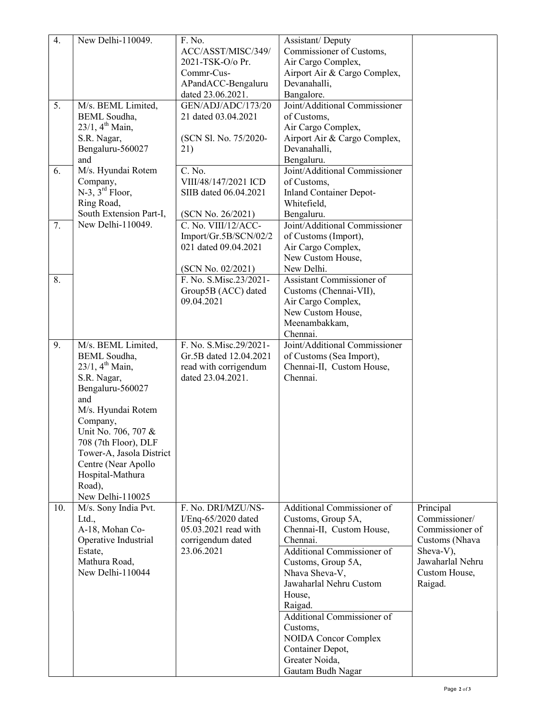| $\overline{4}$ . | New Delhi-110049.              | F. No.                 | Assistant/Deputy                          |                               |
|------------------|--------------------------------|------------------------|-------------------------------------------|-------------------------------|
|                  |                                | ACC/ASST/MISC/349/     | Commissioner of Customs,                  |                               |
|                  |                                | 2021-TSK-O/o Pr.       | Air Cargo Complex,                        |                               |
|                  |                                | Commr-Cus-             | Airport Air & Cargo Complex,              |                               |
|                  |                                | APandACC-Bengaluru     | Devanahalli,                              |                               |
|                  |                                | dated 23.06.2021.      | Bangalore.                                |                               |
| 5.               | M/s. BEML Limited,             | GEN/ADJ/ADC/173/20     | Joint/Additional Commissioner             |                               |
|                  | <b>BEML</b> Soudha,            | 21 dated 03.04.2021    | of Customs,                               |                               |
|                  | $23/1$ , 4 <sup>th</sup> Main, |                        | Air Cargo Complex,                        |                               |
|                  | S.R. Nagar,                    | (SCN Sl. No. 75/2020-  | Airport Air & Cargo Complex,              |                               |
|                  | Bengaluru-560027               | 21)                    | Devanahalli,                              |                               |
|                  | and                            |                        | Bengaluru.                                |                               |
| 6.               | M/s. Hyundai Rotem             | C. No.                 | Joint/Additional Commissioner             |                               |
|                  | Company,                       | VIII/48/147/2021 ICD   | of Customs,                               |                               |
|                  | $N-3$ , $3^{rd}$ Floor,        | SIIB dated 06.04.2021  | <b>Inland Container Depot-</b>            |                               |
|                  | Ring Road,                     |                        | Whitefield,                               |                               |
|                  | South Extension Part-I,        | (SCN No. 26/2021)      | Bengaluru.                                |                               |
| 7.               | New Delhi-110049.              | C. No. VIII/12/ACC-    | Joint/Additional Commissioner             |                               |
|                  |                                | Import/Gr.5B/SCN/02/2  | of Customs (Import),                      |                               |
|                  |                                | 021 dated 09.04.2021   | Air Cargo Complex,                        |                               |
|                  |                                |                        | New Custom House,                         |                               |
|                  |                                | (SCN No. 02/2021)      | New Delhi.                                |                               |
| 8.               |                                | F. No. S.Misc.23/2021- | Assistant Commissioner of                 |                               |
|                  |                                | Group5B (ACC) dated    | Customs (Chennai-VII),                    |                               |
|                  |                                | 09.04.2021             | Air Cargo Complex,                        |                               |
|                  |                                |                        | New Custom House,                         |                               |
|                  |                                |                        | Meenambakkam,                             |                               |
|                  |                                |                        | Chennai.                                  |                               |
| 9.               | M/s. BEML Limited,             | F. No. S.Misc.29/2021- | Joint/Additional Commissioner             |                               |
|                  | <b>BEML</b> Soudha,            | Gr.5B dated 12.04.2021 | of Customs (Sea Import),                  |                               |
|                  | $23/1, 4^{th}$ Main,           | read with corrigendum  | Chennai-II, Custom House,                 |                               |
|                  | S.R. Nagar,                    | dated 23.04.2021.      | Chennai.                                  |                               |
|                  | Bengaluru-560027               |                        |                                           |                               |
|                  | and                            |                        |                                           |                               |
|                  | M/s. Hyundai Rotem             |                        |                                           |                               |
|                  | Company,                       |                        |                                           |                               |
|                  | Unit No. 706, 707 &            |                        |                                           |                               |
|                  | 708 (7th Floor), DLF           |                        |                                           |                               |
|                  | Tower-A, Jasola District       |                        |                                           |                               |
|                  | Centre (Near Apollo            |                        |                                           |                               |
|                  | Hospital-Mathura               |                        |                                           |                               |
|                  | Road),                         |                        |                                           |                               |
|                  | New Delhi-110025               |                        |                                           |                               |
| 10.              | M/s. Sony India Pvt.           | F. No. DRI/MZU/NS-     | Additional Commissioner of                | Principal                     |
|                  | Ltd.,                          | I/Enq-65/2020 dated    | Customs, Group 5A,                        | Commissioner/                 |
|                  | A-18, Mohan Co-                | 05.03.2021 read with   | Chennai-II, Custom House,                 | Commissioner of               |
|                  | Operative Industrial           | corrigendum dated      | Chennai.<br>Additional Commissioner of    | Customs (Nhava                |
|                  | Estate,<br>Mathura Road,       | 23.06.2021             |                                           | Sheva-V),<br>Jawaharlal Nehru |
|                  | New Delhi-110044               |                        | Customs, Group 5A,                        | Custom House,                 |
|                  |                                |                        | Nhava Sheva-V,<br>Jawaharlal Nehru Custom |                               |
|                  |                                |                        |                                           | Raigad.                       |
|                  |                                |                        | House,                                    |                               |
|                  |                                |                        | Raigad.<br>Additional Commissioner of     |                               |
|                  |                                |                        |                                           |                               |
|                  |                                |                        | Customs,                                  |                               |
|                  |                                |                        | <b>NOIDA Concor Complex</b>               |                               |
|                  |                                |                        | Container Depot,<br>Greater Noida,        |                               |
|                  |                                |                        |                                           |                               |
|                  |                                |                        | Gautam Budh Nagar                         |                               |